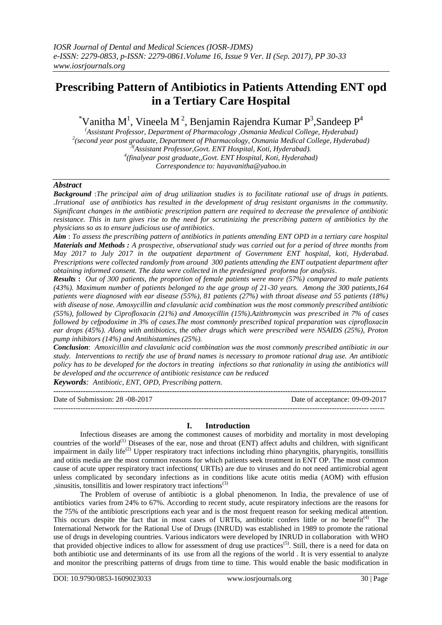# **Prescribing Pattern of Antibiotics in Patients Attending ENT opd in a Tertiary Care Hospital**

 $^*$ Vanitha M<sup>1</sup>, Vineela M<sup>2</sup>, Benjamin Rajendra Kumar P<sup>3</sup>,Sandeep P<sup>4</sup>

*(Assistant Professor, Department of Pharmacology ,Osmania Medical College, Hyderabad) 2 (second year post graduate, Department of Pharmacology, Osmania Medical College, Hyderabad) 3(Assistant Professor,Govt. ENT Hospital, Koti, Hyderabad). 4 (finalyear post graduate,,Govt. ENT Hospital, Koti, Hyderabad) Correspondence to: hayavanitha@yahoo.in*

## *Abstract*

*Background* :*The principal aim of drug utilization studies is to facilitate rational use of drugs in patients. .Irrational use of antibiotics has resulted in the development of drug resistant organisms in the community. Significant changes in the antibiotic prescription pattern are required to decrease the prevalence of antibiotic resistance. This in turn gives rise to the need for scrutinizing the prescribing pattern of antibiotics by the physicians so as to ensure judicious use of antibiotics*.

*Aim* : *To assess the prescribing pattern of antibiotics in patients attending ENT OPD in a tertiary care hospital Materials and Methods : A prospective, observational study was carried out for a period of three months from May 2017 to July 2017 in the outpatient department of Government ENT hospital, koti, Hyderabad. Prescriptions were collected randomly from around 300 patients attending the ENT outpatient department after obtaining informed consent. The data were collected in the predesigned proforma for analysis*.

*Results* **:** *Out of 300 patients, the proportion of female patients were more (57%) compared to male patients (43%). Maximum number of patients belonged to the age group of 21-30 years. Among the 300 patients,164 patients were diagnosed with ear disease (55%), 81 patients (27%) with throat disease and 55 patients (18%) with disease of nose. Amoxycillin and clavulanic acid combination was the most commonly prescribed antibiotic (55%), followed by Ciprofloxacin (21%) and Amoxycillin (15%).Azithromycin was prescribed in 7% of cases followed by cefpodoxime in 3% of cases.The most commonly prescribed topical preparation was ciprofloxacin ear drops (45%). Along with antibiotics, the other drugs which were prescribed were NSAIDS (25%), Proton pump inhibitors (14%) and Antihistamines (25%).*

*Conclusion*: *Amoxicillin and clavulanic acid combination was the most commonly prescribed antibiotic in our study. Interventions to rectify the use of brand names is necessary to promote rational drug use. An antibiotic policy has to be developed for the doctors in treating infections so that rationality in using the antibiotics will be developed and the occurrence of antibiotic resistance can be reduced* 

*Keywords: Antibiotic, ENT, OPD, Prescribing pattern.*

| Date of Submission: 28 -08-2017 | Date of acceptance: 09-09-2017 |
|---------------------------------|--------------------------------|
|                                 |                                |

# **I. Introduction**

Infectious diseases are among the commonest causes of morbidity and mortality in most developing countries of the world<sup>(1)</sup> Diseases of the ear, nose and throat (ENT) affect adults and children, with significant impairment in daily life<sup>(2)</sup> Upper respiratory tract infections including rhino pharyngitis, pharyngitis, tonsillitis and otitis media are the most common reasons for which patients seek treatment in ENT OP. The most common cause of acute upper respiratory tract infections( URTIs) are due to viruses and do not need antimicrobial agent unless complicated by secondary infections as in conditions like acute otitis media (AOM) with effusion  $s$ , sinusitis, tonsillitis and lower respiratory tract infections<sup>(3)</sup>

The Problem of overuse of antibiotic is a global phenomenon. In India, the prevalence of use of antibiotics varies from 24% to 67%. According to recent study, acute respiratory infections are the reasons for the 75% of the antibiotic prescriptions each year and is the most frequent reason for seeking medical attention. This occurs despite the fact that in most cases of URTIs, antibiotic confers little or no benefit<sup>(4)</sup> The International Network for the Rational Use of Drugs (INRUD) was established in 1989 to promote the rational use of drugs in developing countries. Various indicators were developed by INRUD in collaboration with WHO that provided objective indices to allow for assessment of drug use practices<sup>(5)</sup>. Still, there is a need for data on both antibiotic use and determinants of its use from all the regions of the world . It is very essential to analyze and monitor the prescribing patterns of drugs from time to time. This would enable the basic modification in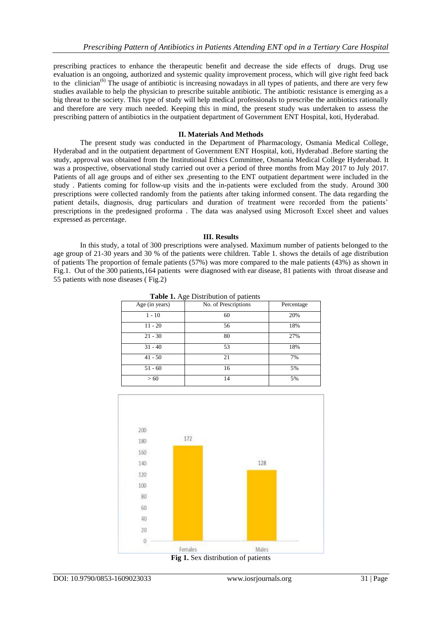prescribing practices to enhance the therapeutic benefit and decrease the side effects of drugs. Drug use evaluation is an ongoing, authorized and systemic quality improvement process, which will give right feed back to the clinician<sup>(6)</sup> The usage of antibiotic is increasing nowadays in all types of patients, and there are very few studies available to help the physician to prescribe suitable antibiotic. The antibiotic resistance is emerging as a big threat to the society. This type of study will help medical professionals to prescribe the antibiotics rationally and therefore are very much needed. Keeping this in mind, the present study was undertaken to assess the prescribing pattern of antibiotics in the outpatient department of Government ENT Hospital, koti, Hyderabad.

## **II. Materials And Methods**

The present study was conducted in the Department of Pharmacology, Osmania Medical College, Hyderabad and in the outpatient department of Government ENT Hospital, koti, Hyderabad .Before starting the study, approval was obtained from the Institutional Ethics Committee, Osmania Medical College Hyderabad. It was a prospective, observational study carried out over a period of three months from May 2017 to July 2017. Patients of all age groups and of either sex ,presenting to the ENT outpatient department were included in the study . Patients coming for follow-up visits and the in-patients were excluded from the study. Around 300 prescriptions were collected randomly from the patients after taking informed consent. The data regarding the patient details, diagnosis, drug particulars and duration of treatment were recorded from the patients' prescriptions in the predesigned proforma . The data was analysed using Microsoft Excel sheet and values expressed as percentage.

#### **III. Results**

In this study, a total of 300 prescriptions were analysed. Maximum number of patients belonged to the age group of 21-30 years and 30 % of the patients were children. Table 1. shows the details of age distribution of patients The proportion of female patients (57%) was more compared to the male patients (43%) as shown in Fig.1. Out of the 300 patients,164 patients were diagnosed with ear disease, 81 patients with throat disease and 55 patients with nose diseases ( Fig.2)

| Age (in years) | <b>Table 1.</b> Age Distribution of patients<br>No. of Prescriptions | Percentage |
|----------------|----------------------------------------------------------------------|------------|
| $1 - 10$       | 60                                                                   | 20%        |
| $11 - 20$      | 56                                                                   | 18%        |
| $21 - 30$      | 80                                                                   | 27%        |
| $31 - 40$      | 53                                                                   | 18%        |
| $41 - 50$      | 21                                                                   | 7%         |
| $51 - 60$      | 16                                                                   | 5%         |
| >60            | 14                                                                   | 5%         |

**Table 1.** Age Distribution of patients



**Fig 1.** Sex distribution of patients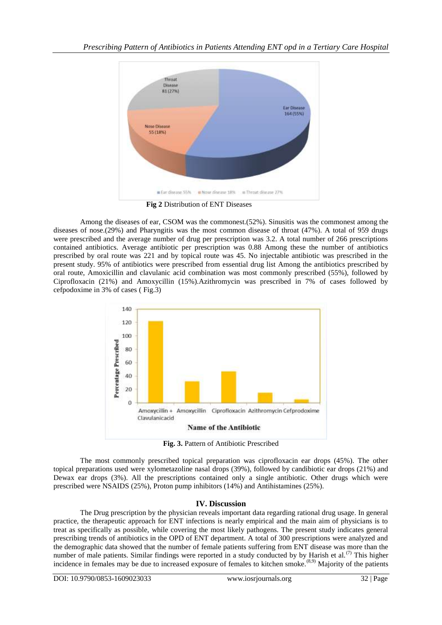

**Fig 2** Distribution of ENT Diseases

Among the diseases of ear, CSOM was the commonest.(52%). Sinusitis was the commonest among the diseases of nose.(29%) and Pharyngitis was the most common disease of throat (47%). A total of 959 drugs were prescribed and the average number of drug per prescription was 3.2. A total number of 266 prescriptions contained antibiotics. Average antibiotic per prescription was 0.88 Among these the number of antibiotics prescribed by oral route was 221 and by topical route was 45. No injectable antibiotic was prescribed in the present study. 95% of antibiotics were prescribed from essential drug list Among the antibiotics prescribed by oral route, Amoxicillin and clavulanic acid combination was most commonly prescribed (55%), followed by Ciprofloxacin (21%) and Amoxycillin (15%).Azithromycin was prescribed in 7% of cases followed by cefpodoxime in 3% of cases ( Fig.3)



**Fig. 3.** Pattern of Antibiotic Prescribed

The most commonly prescribed topical preparation was ciprofloxacin ear drops (45%). The other topical preparations used were xylometazoline nasal drops (39%), followed by candibiotic ear drops (21%) and Dewax ear drops (3%). All the prescriptions contained only a single antibiotic. Other drugs which were prescribed were NSAIDS (25%), Proton pump inhibitors (14%) and Antihistamines (25%).

# **IV. Discussion**

The Drug prescription by the physician reveals important data regarding rational drug usage. In general practice, the therapeutic approach for ENT infections is nearly empirical and the main aim of physicians is to treat as specifically as possible, while covering the most likely pathogens. The present study indicates general prescribing trends of antibiotics in the OPD of ENT department. A total of 300 prescriptions were analyzed and the demographic data showed that the number of female patients suffering from ENT disease was more than the number of male patients. Similar findings were reported in a study conducted by by Harish et al.<sup>(7)</sup> This higher incidence in females may be due to increased exposure of females to kitchen smoke.<sup>(8,9)</sup> Majority of the patients